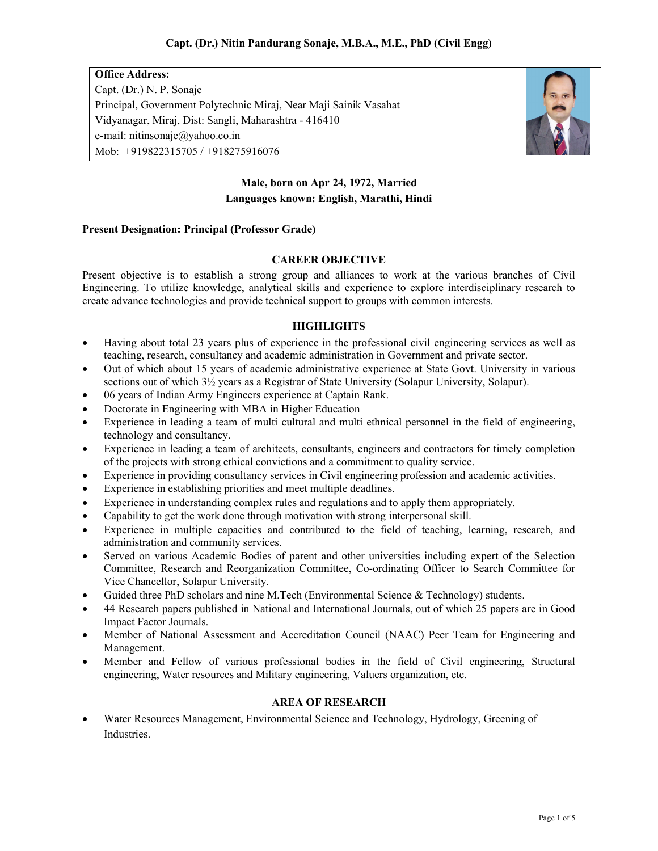Office Address: Capt. (Dr.) N. P. Sonaje Principal, Government Polytechnic Miraj, Near Maji Sainik Vasahat Vidyanagar, Miraj, Dist: Sangli, Maharashtra - 416410 e-mail: nitinsonaje@yahoo.co.in Mob: +919822315705 / +918275916076



# Male, born on Apr 24, 1972, Married Languages known: English, Marathi, Hindi

## Present Designation: Principal (Professor Grade)

# CAREER OBJECTIVE

Present objective is to establish a strong group and alliances to work at the various branches of Civil Engineering. To utilize knowledge, analytical skills and experience to explore interdisciplinary research to create advance technologies and provide technical support to groups with common interests.

## **HIGHLIGHTS**

- Having about total 23 years plus of experience in the professional civil engineering services as well as teaching, research, consultancy and academic administration in Government and private sector.
- Out of which about 15 years of academic administrative experience at State Govt. University in various sections out of which  $3\frac{1}{2}$  years as a Registrar of State University (Solapur University, Solapur).
- 06 years of Indian Army Engineers experience at Captain Rank.
- Doctorate in Engineering with MBA in Higher Education
- Experience in leading a team of multi cultural and multi ethnical personnel in the field of engineering, technology and consultancy.
- Experience in leading a team of architects, consultants, engineers and contractors for timely completion of the projects with strong ethical convictions and a commitment to quality service.
- Experience in providing consultancy services in Civil engineering profession and academic activities.
- Experience in establishing priorities and meet multiple deadlines.
- Experience in understanding complex rules and regulations and to apply them appropriately.
- Capability to get the work done through motivation with strong interpersonal skill.
- Experience in multiple capacities and contributed to the field of teaching, learning, research, and administration and community services.
- Served on various Academic Bodies of parent and other universities including expert of the Selection Committee, Research and Reorganization Committee, Co-ordinating Officer to Search Committee for Vice Chancellor, Solapur University.
- Guided three PhD scholars and nine M.Tech (Environmental Science & Technology) students.
- 44 Research papers published in National and International Journals, out of which 25 papers are in Good Impact Factor Journals.
- Member of National Assessment and Accreditation Council (NAAC) Peer Team for Engineering and Management.
- Member and Fellow of various professional bodies in the field of Civil engineering, Structural engineering, Water resources and Military engineering, Valuers organization, etc.

#### AREA OF RESEARCH

 Water Resources Management, Environmental Science and Technology, Hydrology, Greening of Industries.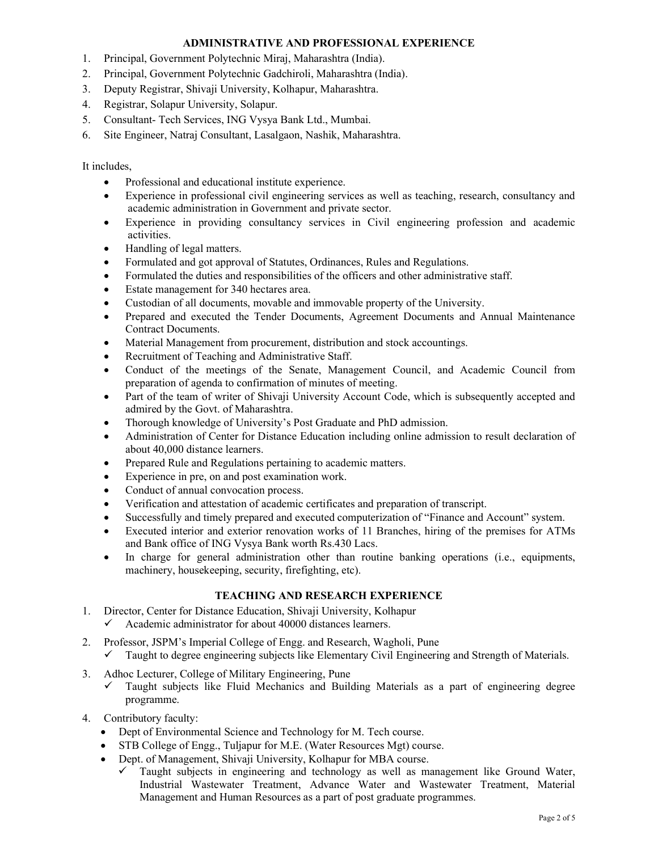### ADMINISTRATIVE AND PROFESSIONAL EXPERIENCE

- 1. Principal, Government Polytechnic Miraj, Maharashtra (India).
- 2. Principal, Government Polytechnic Gadchiroli, Maharashtra (India).
- 3. Deputy Registrar, Shivaji University, Kolhapur, Maharashtra.
- 4. Registrar, Solapur University, Solapur.
- 5. Consultant- Tech Services, ING Vysya Bank Ltd., Mumbai.
- 6. Site Engineer, Natraj Consultant, Lasalgaon, Nashik, Maharashtra.

It includes,

- Professional and educational institute experience.
- Experience in professional civil engineering services as well as teaching, research, consultancy and academic administration in Government and private sector.
- Experience in providing consultancy services in Civil engineering profession and academic activities.
- Handling of legal matters.
- Formulated and got approval of Statutes, Ordinances, Rules and Regulations.
- Formulated the duties and responsibilities of the officers and other administrative staff.
- Estate management for 340 hectares area.
- Custodian of all documents, movable and immovable property of the University.
- Prepared and executed the Tender Documents, Agreement Documents and Annual Maintenance Contract Documents.
- Material Management from procurement, distribution and stock accountings.
- Recruitment of Teaching and Administrative Staff.
- Conduct of the meetings of the Senate, Management Council, and Academic Council from preparation of agenda to confirmation of minutes of meeting.
- Part of the team of writer of Shivaji University Account Code, which is subsequently accepted and admired by the Govt. of Maharashtra.
- Thorough knowledge of University's Post Graduate and PhD admission.
- Administration of Center for Distance Education including online admission to result declaration of about 40,000 distance learners.
- Prepared Rule and Regulations pertaining to academic matters.
- Experience in pre, on and post examination work.
- Conduct of annual convocation process.
- Verification and attestation of academic certificates and preparation of transcript.
- Successfully and timely prepared and executed computerization of "Finance and Account" system.
- Executed interior and exterior renovation works of 11 Branches, hiring of the premises for ATMs and Bank office of ING Vysya Bank worth Rs.430 Lacs.
- In charge for general administration other than routine banking operations (i.e., equipments, machinery, housekeeping, security, firefighting, etc).

#### TEACHING AND RESEARCH EXPERIENCE

- 1. Director, Center for Distance Education, Shivaji University, Kolhapur
	- Academic administrator for about 40000 distances learners.
- 2. Professor, JSPM's Imperial College of Engg. and Research, Wagholi, Pune Taught to degree engineering subjects like Elementary Civil Engineering and Strength of Materials.
- 3. Adhoc Lecturer, College of Military Engineering, Pune
	- Taught subjects like Fluid Mechanics and Building Materials as a part of engineering degree programme.
- 4. Contributory faculty:
	- Dept of Environmental Science and Technology for M. Tech course.
	- STB College of Engg., Tuljapur for M.E. (Water Resources Mgt) course.
	- Dept. of Management, Shivaji University, Kolhapur for MBA course.
		- $\checkmark$  Taught subjects in engineering and technology as well as management like Ground Water, Industrial Wastewater Treatment, Advance Water and Wastewater Treatment, Material Management and Human Resources as a part of post graduate programmes.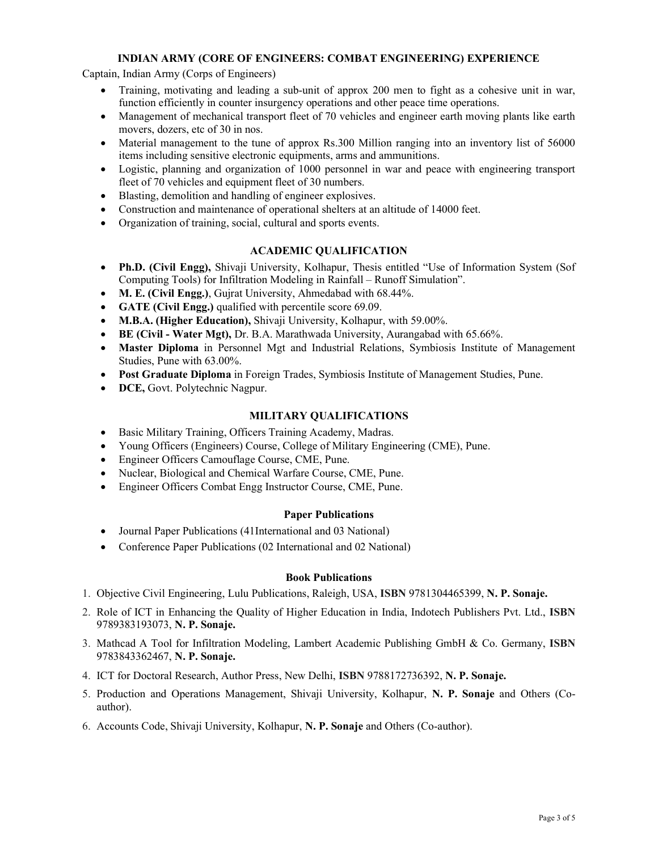## INDIAN ARMY (CORE OF ENGINEERS: COMBAT ENGINEERING) EXPERIENCE

Captain, Indian Army (Corps of Engineers)

- Training, motivating and leading a sub-unit of approx 200 men to fight as a cohesive unit in war, function efficiently in counter insurgency operations and other peace time operations.
- Management of mechanical transport fleet of 70 vehicles and engineer earth moving plants like earth movers, dozers, etc of 30 in nos.
- Material management to the tune of approx Rs.300 Million ranging into an inventory list of 56000 items including sensitive electronic equipments, arms and ammunitions.
- Logistic, planning and organization of 1000 personnel in war and peace with engineering transport fleet of 70 vehicles and equipment fleet of 30 numbers.
- Blasting, demolition and handling of engineer explosives.
- Construction and maintenance of operational shelters at an altitude of 14000 feet.
- Organization of training, social, cultural and sports events.

## ACADEMIC QUALIFICATION

- Ph.D. (Civil Engg), Shivaji University, Kolhapur, Thesis entitled "Use of Information System (Sof Computing Tools) for Infiltration Modeling in Rainfall – Runoff Simulation".
- M. E. (Civil Engg.), Gujrat University, Ahmedabad with 68.44%.
- GATE (Civil Engg.) qualified with percentile score 69.09.
- M.B.A. (Higher Education), Shivaji University, Kolhapur, with 59.00%.
- BE (Civil Water Mgt), Dr. B.A. Marathwada University, Aurangabad with 65.66%.
- Master Diploma in Personnel Mgt and Industrial Relations, Symbiosis Institute of Management Studies, Pune with 63.00%.
- Post Graduate Diploma in Foreign Trades, Symbiosis Institute of Management Studies, Pune.
- DCE, Govt. Polytechnic Nagpur.

## MILITARY QUALIFICATIONS

- Basic Military Training, Officers Training Academy, Madras.
- Young Officers (Engineers) Course, College of Military Engineering (CME), Pune.
- Engineer Officers Camouflage Course, CME, Pune.
- Nuclear, Biological and Chemical Warfare Course, CME, Pune.
- Engineer Officers Combat Engg Instructor Course, CME, Pune.

#### Paper Publications

- Journal Paper Publications (41International and 03 National)
- Conference Paper Publications (02 International and 02 National)

#### Book Publications

- 1. Objective Civil Engineering, Lulu Publications, Raleigh, USA, ISBN 9781304465399, N. P. Sonaje.
- 2. Role of ICT in Enhancing the Quality of Higher Education in India, Indotech Publishers Pvt. Ltd., ISBN 9789383193073, N. P. Sonaje.
- 3. Mathcad A Tool for Infiltration Modeling, Lambert Academic Publishing GmbH & Co. Germany, ISBN 9783843362467, N. P. Sonaje.
- 4. ICT for Doctoral Research, Author Press, New Delhi, ISBN 9788172736392, N. P. Sonaje.
- 5. Production and Operations Management, Shivaji University, Kolhapur, N. P. Sonaje and Others (Coauthor).
- 6. Accounts Code, Shivaji University, Kolhapur, N. P. Sonaje and Others (Co-author).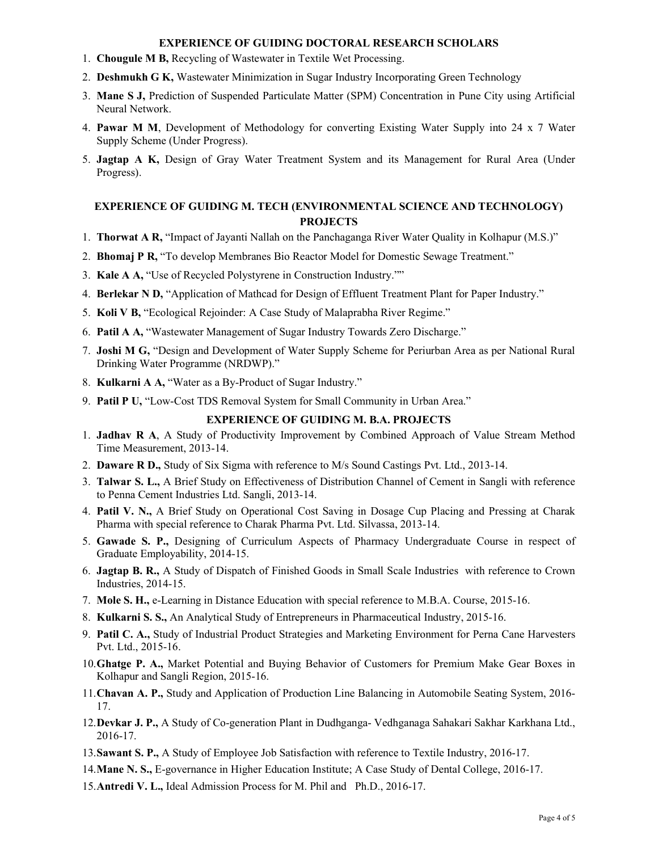#### EXPERIENCE OF GUIDING DOCTORAL RESEARCH SCHOLARS

- 1. Chougule M B, Recycling of Wastewater in Textile Wet Processing.
- 2. Deshmukh G K, Wastewater Minimization in Sugar Industry Incorporating Green Technology
- 3. Mane S J, Prediction of Suspended Particulate Matter (SPM) Concentration in Pune City using Artificial Neural Network.
- 4. Pawar M M, Development of Methodology for converting Existing Water Supply into 24 x 7 Water Supply Scheme (Under Progress).
- 5. Jagtap A K, Design of Gray Water Treatment System and its Management for Rural Area (Under Progress).

# EXPERIENCE OF GUIDING M. TECH (ENVIRONMENTAL SCIENCE AND TECHNOLOGY) PROJECTS

- 1. Thorwat A R, "Impact of Jayanti Nallah on the Panchaganga River Water Quality in Kolhapur (M.S.)"
- 2. Bhomaj P R, "To develop Membranes Bio Reactor Model for Domestic Sewage Treatment."
- 3. Kale A A, "Use of Recycled Polystyrene in Construction Industry.""
- 4. Berlekar N D, "Application of Mathcad for Design of Effluent Treatment Plant for Paper Industry."
- 5. Koli V B, "Ecological Rejoinder: A Case Study of Malaprabha River Regime."
- 6. Patil A A, "Wastewater Management of Sugar Industry Towards Zero Discharge."
- 7. Joshi M G, "Design and Development of Water Supply Scheme for Periurban Area as per National Rural Drinking Water Programme (NRDWP)."
- 8. Kulkarni A A, "Water as a By-Product of Sugar Industry."
- 9. Patil P U, "Low-Cost TDS Removal System for Small Community in Urban Area."

## EXPERIENCE OF GUIDING M. B.A. PROJECTS

- 1. Jadhav R A, A Study of Productivity Improvement by Combined Approach of Value Stream Method Time Measurement, 2013-14.
- 2. Daware R D., Study of Six Sigma with reference to M/s Sound Castings Pvt. Ltd., 2013-14.
- 3. Talwar S. L., A Brief Study on Effectiveness of Distribution Channel of Cement in Sangli with reference to Penna Cement Industries Ltd. Sangli, 2013-14.
- 4. Patil V. N., A Brief Study on Operational Cost Saving in Dosage Cup Placing and Pressing at Charak Pharma with special reference to Charak Pharma Pvt. Ltd. Silvassa, 2013-14.
- 5. Gawade S. P., Designing of Curriculum Aspects of Pharmacy Undergraduate Course in respect of Graduate Employability, 2014-15.
- 6. Jagtap B. R., A Study of Dispatch of Finished Goods in Small Scale Industries with reference to Crown Industries, 2014-15.
- 7. Mole S. H., e-Learning in Distance Education with special reference to M.B.A. Course, 2015-16.
- 8. Kulkarni S. S., An Analytical Study of Entrepreneurs in Pharmaceutical Industry, 2015-16.
- 9. Patil C. A., Study of Industrial Product Strategies and Marketing Environment for Perna Cane Harvesters Pvt. Ltd., 2015-16.
- 10.Ghatge P. A., Market Potential and Buying Behavior of Customers for Premium Make Gear Boxes in Kolhapur and Sangli Region, 2015-16.
- 11.Chavan A. P., Study and Application of Production Line Balancing in Automobile Seating System, 2016- 17.
- 12.Devkar J. P., A Study of Co-generation Plant in Dudhganga- Vedhganaga Sahakari Sakhar Karkhana Ltd., 2016-17.
- 13.Sawant S. P., A Study of Employee Job Satisfaction with reference to Textile Industry, 2016-17.
- 14.Mane N. S., E-governance in Higher Education Institute; A Case Study of Dental College, 2016-17.
- 15.Antredi V. L., Ideal Admission Process for M. Phil and Ph.D., 2016-17.